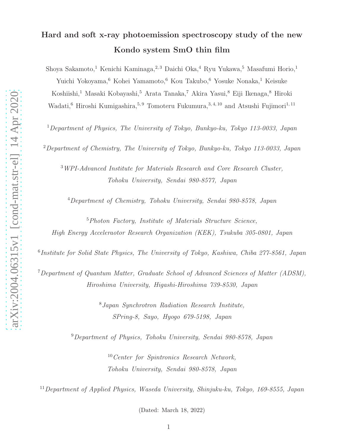# Hard and soft x-ray photoemission spectroscopy study of the new Kondo system SmO thin film

Shoya Sakamoto,<sup>1</sup> Kenichi Kaminaga,<sup>2,3</sup> Daichi Oka,<sup>4</sup> Ryu Yukawa,<sup>5</sup> Masafumi Horio,<sup>1</sup> Yuichi Yokoyama,<sup>6</sup> Kohei Yamamoto,<sup>6</sup> Kou Takubo,<sup>6</sup> Yosuke Nonaka,<sup>1</sup> Keisuke Koshiishi,<sup>1</sup> Masaki Kobayashi,<sup>5</sup> Arata Tanaka,<sup>7</sup> Akira Yasui,<sup>8</sup> Eiji Ikenaga,<sup>8</sup> Hiroki Wadati,<sup>6</sup> Hiroshi Kumigashira,<sup>5, 9</sup> Tomoteru Fukumura,<sup>3, 4, 10</sup> and Atsushi Fujimori<sup>1, 11</sup>

<sup>1</sup>Department of Physics, The University of Tokyo, Bunkyo-ku, Tokyo 113-0033, Japan

<sup>2</sup>Department of Chemistry, The University of Tokyo, Bunkyo-ku, Tokyo 113-0033, Japan

<sup>3</sup>WPI-Advanced Institute for Materials Research and Core Research Cluster, Tohoku University, Sendai 980-8577, Japan

<sup>4</sup>Department of Chemistry, Tohoku University, Sendai 980-8578, Japan

<sup>5</sup>Photon Factory, Institute of Materials Structure Science, High Energy Acceleraotor Research Organization (KEK), Tsukuba 305-0801, Japan

6 Institute for Solid State Physics, The University of Tokyo, Kashiwa, Chiba 277-8561, Japan

<sup>7</sup>Department of Quantum Matter, Graduate School of Advanced Sciences of Matter (ADSM), Hiroshima University, Higashi-Hiroshima 739-8530, Japan

> <sup>8</sup>Japan Synchrotron Radiation Research Institute, SPring-8, Sayo, Hyogo 679-5198, Japan

<sup>9</sup>Department of Physics, Tohoku University, Sendai 980-8578, Japan

<sup>10</sup>Center for Spintronics Research Network, Tohoku University, Sendai 980-8578, Japan

<sup>11</sup>Department of Applied Physics, Waseda University, Shinjuku-ku, Tokyo, 169-8555, Japan

(Dated: March 18, 2022)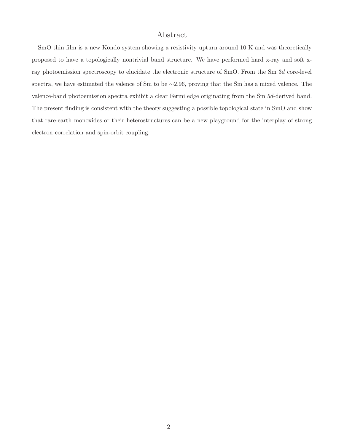## Abstract

SmO thin film is a new Kondo system showing a resistivity upturn around 10 K and was theoretically proposed to have a topologically nontrivial band structure. We have performed hard x-ray and soft xray photoemission spectroscopy to elucidate the electronic structure of SmO. From the Sm 3d core-level spectra, we have estimated the valence of Sm to be ∼2.96, proving that the Sm has a mixed valence. The valence-band photoemission spectra exhibit a clear Fermi edge originating from the Sm 5d-derived band. The present finding is consistent with the theory suggesting a possible topological state in SmO and show that rare-earth monoxides or their heterostructures can be a new playground for the interplay of strong electron correlation and spin-orbit coupling.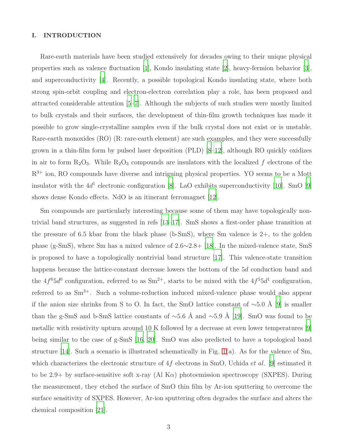#### I. INTRODUCTION

Rare-earth materials have been studied extensively for decades owing to their unique physical properties such as valence fluctuation [\[1](#page-8-0)], Kondo insulating state [\[2](#page-8-1)], heavy-fermion behavior [\[3\]](#page-8-2), and superconductivity [\[4\]](#page-8-3). Recently, a possible topological Kondo insulating state, where both strong spin-orbit coupling and electron-electron correlation play a role, has been proposed and attracted considerable attention [\[5](#page-8-4)[–7](#page-8-5)]. Although the subjects of such studies were mostly limited to bulk crystals and their surfaces, the development of thin-film growth techniques has made it possible to grow single-crystalline samples even if the bulk crystal does not exist or is unstable. Rare-earth monoxides (RO) (R: rare-earth element) are such examples, and they were successfully grown in a thin-film form by pulsed laser deposition (PLD) [\[8](#page-8-6)[–12\]](#page-8-7), although RO quickly oxidizes in air to form  $R_2O_3$ . While  $R_2O_3$  compounds are insulators with the localized f electrons of the  $R^{3+}$  ion, RO compounds have diverse and intriguing physical properties. YO seems to be a Mott insulator with the  $4d<sup>1</sup>$  electronic configuration [\[8](#page-8-6)]. LaO exhibits superconductivity [\[10\]](#page-8-8). SmO [\[9](#page-8-9)] shows dense Kondo effects. NdO is an itinerant ferromagnet [\[12](#page-8-7)].

Sm compounds are particularly interesting because some of them may have topologically nontrivial band structures, as suggested in refs [\[13](#page-8-10)[–17\]](#page-8-11). SmS shows a first-order phase transition at the pressure of 6.5 kbar from the black phase (b-SmS), where Sm valence is  $2+$ , to the golden phase (g-SmS), where Sm has a mixed valence of 2.6∼2.8+ [\[18\]](#page-8-12). In the mixed-valence state, SmS is proposed to have a topologically nontrivial band structure [\[17\]](#page-8-11). This valence-state transition happens because the lattice-constant decrease lowers the bottom of the 5d conduction band and the  $4f^65d^0$  configuration, referred to as  $\text{Sm}^{2+}$ , starts to be mixed with the  $4f^55d^1$  configuration, referred to as  $\text{Sm}^{3+}$ . Such a volume-reduction induced mixed-valence phase would also appear if the anion size shrinks from S to O. In fact, the SmO lattice constant of  $\sim$ 5.0 Å [\[9\]](#page-8-9) is smaller than the g-SmS and b-SmS lattice constants of ~5.6 Å and ~5.9 Å [\[19\]](#page-8-13). SmO was found to be metallic with resistivity upturn around 10 K followed by a decrease at even lower temperatures [\[9](#page-8-9)] being similar to the case of g-SmS [\[16,](#page-8-14) [20](#page-9-0)]. SmO was also predicted to have a topological band structure [\[14\]](#page-8-15). Such a scenario is illustrated schematically in Fig. [1\(](#page-3-0)a). As for the valence of Sm, which characterizes the electronic structure of  $4f$  electrons in SmO, Uchida *et al.* [\[9](#page-8-9)] estimated it to be 2.9+ by surface-sensitive soft x-ray (Al  $K\alpha$ ) photoemission spectroscopy (SXPES). During the measurement, they etched the surface of SmO thin film by Ar-ion sputtering to overcome the surface sensitivity of SXPES. However, Ar-ion sputtering often degrades the surface and alters the chemical composition [\[21\]](#page-9-1).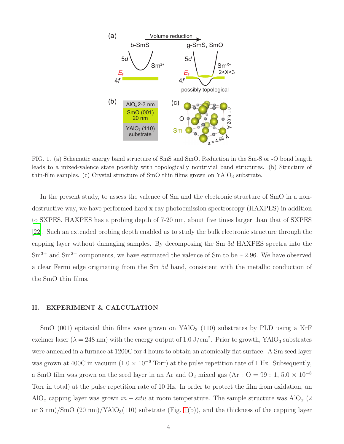

<span id="page-3-0"></span>FIG. 1. (a) Schematic energy band structure of SmS and SmO. Reduction in the Sm-S or -O bond length leads to a mixed-valence state possibly with topologically nontrivial band structures. (b) Structure of thin-film samples. (c) Crystal structure of SmO thin films grown on  $YAlO<sub>3</sub>$  substrate.

In the present study, to assess the valence of Sm and the electronic structure of SmO in a nondestructive way, we have performed hard x-ray photoemission spectroscopy (HAXPES) in addition to SXPES. HAXPES has a probing depth of 7-20 nm, about five times larger than that of SXPES [\[22\]](#page-9-2). Such an extended probing depth enabled us to study the bulk electronic structure through the capping layer without damaging samples. By decomposing the Sm 3d HAXPES spectra into the Sm<sup>3+</sup> and Sm<sup>2+</sup> components, we have estimated the valence of Sm to be ~2.96. We have observed a clear Fermi edge originating from the Sm 5d band, consistent with the metallic conduction of the SmO thin films.

#### II. EXPERIMENT & CALCULATION

SmO (001) epitaxial thin films were grown on  $YAlO<sub>3</sub>$  (110) substrates by PLD using a KrF excimer laser ( $\lambda = 248$  nm) with the energy output of 1.0 J/cm<sup>2</sup>. Prior to growth, YAlO<sub>3</sub> substrates were annealed in a furnace at 1200C for 4 hours to obtain an atomically flat surface. A Sm seed layer was grown at 400C in vacuum ( $1.0 \times 10^{-8}$  Torr) at the pulse repetition rate of 1 Hz. Subsequently, a SmO film was grown on the seed layer in an Ar and  $O_2$  mixed gas (Ar :  $O = 99 : 1, 5.0 \times 10^{-8}$ Torr in total) at the pulse repetition rate of 10 Hz. In order to protect the film from oxidation, an AlO<sub>x</sub> capping layer was grown in – situ at room temperature. The sample structure was AlO<sub>x</sub> (2) or 3 nm)/SmO  $(20 \text{ nm})/\text{YAlO}_3(110)$  substrate (Fig. [1\(](#page-3-0)b)), and the thickness of the capping layer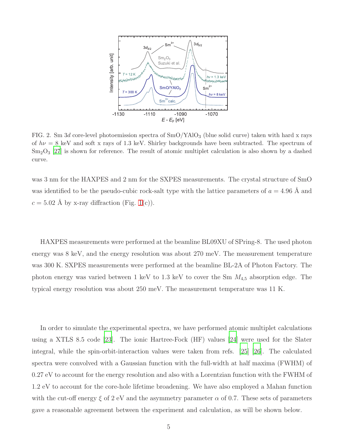

<span id="page-4-0"></span>FIG. 2. Sm 3d core-level photoemission spectra of  $\text{SmO/YAlO}_3$  (blue solid curve) taken with hard x rays of  $h\nu = 8$  keV and soft x rays of 1.3 keV. Shirley backgrounds have been subtracted. The spectrum of  $\text{Sm}_2\text{O}_3$  [\[27](#page-9-3)] is shown for reference. The result of atomic multiplet calculation is also shown by a dashed curve.

was 3 nm for the HAXPES and 2 nm for the SXPES measurements. The crystal structure of SmO was identified to be the pseudo-cubic rock-salt type with the lattice parameters of  $a = 4.96$  Å and  $c = 5.02$  Å by x-ray diffraction (Fig. [1\(](#page-3-0)c)).

HAXPES measurements were performed at the beamline BL09XU of SPring-8. The used photon energy was 8 keV, and the energy resolution was about 270 meV. The measurement temperature was 300 K. SXPES measurements were performed at the beamline BL-2A of Photon Factory. The photon energy was varied between 1 keV to 1.3 keV to cover the Sm  $M_{4,5}$  absorption edge. The typical energy resolution was about 250 meV. The measurement temperature was 11 K.

In order to simulate the experimental spectra, we have performed atomic multiplet calculations using a XTLS 8.5 code [\[23](#page-9-4)]. The ionic Hartree-Fock (HF) values [\[24\]](#page-9-5) were used for the Slater integral, while the spin-orbit-interaction values were taken from refs. [\[25\]](#page-9-6) [\[26\]](#page-9-7). The calculated spectra were convolved with a Gaussian function with the full-width at half maxima (FWHM) of 0.27 eV to account for the energy resolution and also with a Lorentzian function with the FWHM of 1.2 eV to account for the core-hole lifetime broadening. We have also employed a Mahan function with the cut-off energy  $\xi$  of 2 eV and the asymmetry parameter  $\alpha$  of 0.7. These sets of parameters gave a reasonable agreement between the experiment and calculation, as will be shown below.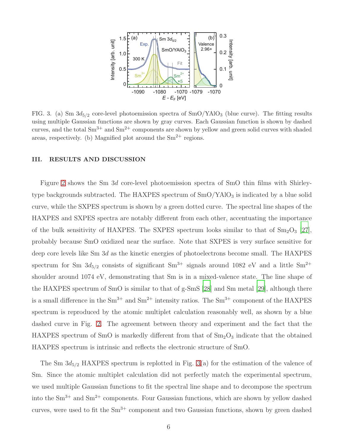

<span id="page-5-0"></span>FIG. 3. (a) Sm  $3d_{5/2}$  core-level photoemission spectra of SmO/YAlO<sub>3</sub> (blue curve). The fitting results using multiple Gaussian functions are shown by gray curves. Each Gaussian function is shown by dashed curves, and the total  $\text{Sm}^{3+}$  and  $\text{Sm}^{2+}$  components are shown by yellow and green solid curves with shaded areas, respectively. (b) Magnified plot around the  $Sm^{2+}$  regions.

#### III. RESULTS AND DISCUSSION

Figure [2](#page-4-0) shows the Sm 3d core-level photoemission spectra of SmO thin films with Shirleytype backgrounds subtracted. The HAXPES spectrum of  $SmO/YAlO<sub>3</sub>$  is indicated by a blue solid curve, while the SXPES spectrum is shown by a green dotted curve. The spectral line shapes of the HAXPES and SXPES spectra are notably different from each other, accentuating the importance of the bulk sensitivity of HAXPES. The SXPES spectrum looks similar to that of  $\text{Sm}_2\text{O}_3$  [\[27\]](#page-9-3), probably because SmO oxidized near the surface. Note that SXPES is very surface sensitive for deep core levels like Sm 3d as the kinetic energies of photoelectrons become small. The HAXPES spectrum for Sm  $3d_{5/2}$  consists of significant Sm<sup>3+</sup> signals around 1082 eV and a little Sm<sup>2+</sup> shoulder around 1074 eV, demonstrating that Sm is in a mixed-valence state. The line shape of the HAXPES spectrum of SmO is similar to that of g-SmS [\[28](#page-9-8)] and Sm metal [\[29\]](#page-9-9), although there is a small difference in the  $\text{Sm}^{3+}$  and  $\text{Sm}^{2+}$  intensity ratios. The  $\text{Sm}^{3+}$  component of the HAXPES spectrum is reproduced by the atomic multiplet calculation reasonably well, as shown by a blue dashed curve in Fig. [2.](#page-4-0) The agreement between theory and experiment and the fact that the HAXPES spectrum of SmO is markedly different from that of  $Sm<sub>2</sub>O<sub>3</sub>$  indicate that the obtained HAXPES spectrum is intrinsic and reflects the electronic structure of SmO.

The Sm  $3d_{5/2}$  HAXPES spectrum is replotted in Fig. [3\(](#page-5-0)a) for the estimation of the valence of Sm. Since the atomic multiplet calculation did not perfectly match the experimental spectrum, we used multiple Gaussian functions to fit the spectral line shape and to decompose the spectrum into the  $\text{Sm}^{3+}$  and  $\text{Sm}^{2+}$  components. Four Gaussian functions, which are shown by yellow dashed curves, were used to fit the  $\text{Sm}^{3+}$  component and two Gaussian functions, shown by green dashed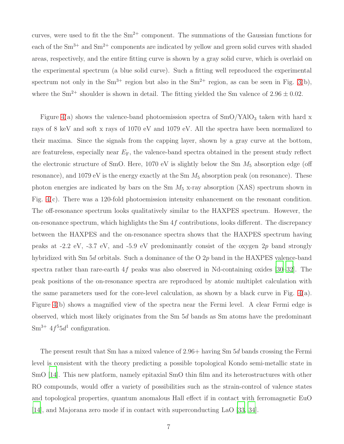curves, were used to fit the the  $Sm^{2+}$  component. The summations of the Gaussian functions for each of the  $\text{Sm}^{3+}$  and  $\text{Sm}^{2+}$  components are indicated by yellow and green solid curves with shaded areas, respectively, and the entire fitting curve is shown by a gray solid curve, which is overlaid on the experimental spectrum (a blue solid curve). Such a fitting well reproduced the experimental spectrum not only in the  $Sm^{3+}$  region but also in the  $Sm^{2+}$  region, as can be seen in Fig. [3\(](#page-5-0)b), where the  $\text{Sm}^{2+}$  shoulder is shown in detail. The fitting yielded the Sm valence of  $2.96 \pm 0.02$ .

Figure [4\(](#page-7-0)a) shows the valence-band photoemission spectra of  $\text{SmO/YAlO}_3$  taken with hard x rays of 8 keV and soft x rays of 1070 eV and 1079 eV. All the spectra have been normalized to their maxima. Since the signals from the capping layer, shown by a gray curve at the bottom, are featureless, especially near  $E_F$ , the valence-band spectra obtained in the present study reflect the electronic structure of SmO. Here,  $1070$  eV is slightly below the Sm  $M_5$  absorption edge (off resonance), and 1079 eV is the energy exactly at the Sm  $M_5$  absorption peak (on resonance). These photon energies are indicated by bars on the Sm  $M_5$  x-ray absorption (XAS) spectrum shown in Fig. [4\(](#page-7-0)c). There was a 120-fold photoemission intensity enhancement on the resonant condition. The off-resonance spectrum looks qualitatively similar to the HAXPES spectrum. However, the on-resonance spectrum, which highlights the  $Sm 4f$  contributions, looks different. The discrepancy between the HAXPES and the on-resonance spectra shows that the HAXPES spectrum having peaks at -2.2 eV, -3.7 eV, and -5.9 eV predominantly consist of the oxygen  $2p$  band strongly hybridized with Sm 5d orbitals. Such a dominance of the O 2p band in the HAXPES valence-band spectra rather than rare-earth  $4f$  peaks was also observed in Nd-containing oxides [\[30](#page-9-10)[–32\]](#page-9-11). The peak positions of the on-resonance spectra are reproduced by atomic multiplet calculation with the same parameters used for the core-level calculation, as shown by a black curve in Fig.  $4(a)$ . Figure [4\(](#page-7-0)b) shows a magnified view of the spectra near the Fermi level. A clear Fermi edge is observed, which most likely originates from the Sm 5d bands as Sm atoms have the predominant  $\text{Sm}^{3+}$  4 $f^{5}5d^{1}$  configuration.

The present result that Sm has a mixed valence of 2.96+ having Sm 5d bands crossing the Fermi level is consistent with the theory predicting a possible topological Kondo semi-metallic state in SmO [\[14\]](#page-8-15). This new platform, namely epitaxial SmO thin film and its heterostructures with other RO compounds, would offer a variety of possibilities such as the strain-control of valence states and topological properties, quantum anomalous Hall effect if in contact with ferromagnetic EuO [\[14\]](#page-8-15), and Majorana zero mode if in contact with superconducting LaO [\[33](#page-9-12), [34](#page-10-0)].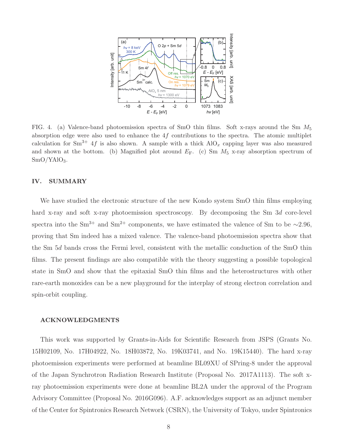

<span id="page-7-0"></span>FIG. 4. (a) Valence-band photoemission spectra of SmO thin films. Soft x-rays around the Sm  $M_5$ absorption edge were also used to enhance the  $4f$  contributions to the spectra. The atomic multiplet calculation for Sm<sup>3+</sup> 4f is also shown. A sample with a thick  $AIO_x$  capping layer was also measured and shown at the bottom. (b) Magnified plot around  $E_F$ . (c) Sm  $M_5$  x-ray absorption spectrum of  $SmO/YAlO<sub>3</sub>$ .

### IV. SUMMARY

We have studied the electronic structure of the new Kondo system SmO thin films employing hard x-ray and soft x-ray photoemission spectroscopy. By decomposing the Sm 3d core-level spectra into the Sm<sup>3+</sup> and Sm<sup>2+</sup> components, we have estimated the valence of Sm to be ~2.96, proving that Sm indeed has a mixed valence. The valence-band photoemission spectra show that the Sm 5d bands cross the Fermi level, consistent with the metallic conduction of the SmO thin films. The present findings are also compatible with the theory suggesting a possible topological state in SmO and show that the epitaxial SmO thin films and the heterostructures with other rare-earth monoxides can be a new playground for the interplay of strong electron correlation and spin-orbit coupling.

#### ACKNOWLEDGMENTS

This work was supported by Grants-in-Aids for Scientific Research from JSPS (Grants No. 15H02109, No. 17H04922, No. 18H03872, No. 19K03741, and No. 19K15440). The hard x-ray photoemission experiments were performed at beamline BL09XU of SPring-8 under the approval of the Japan Synchrotron Radiation Research Institute (Proposal No. 2017A1113). The soft xray photoemission experiments were done at beamline BL2A under the approval of the Program Advisory Committee (Proposal No. 2016G096). A.F. acknowledges support as an adjunct member of the Center for Spintronics Research Network (CSRN), the University of Tokyo, under Spintronics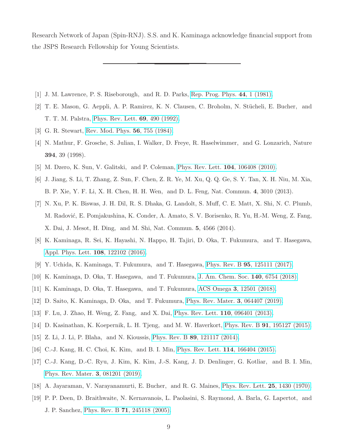Research Network of Japan (Spin-RNJ). S.S. and K. Kaminaga acknowledge financial support from the JSPS Research Fellowship for Young Scientists.

- <span id="page-8-1"></span><span id="page-8-0"></span>[1] J. M. Lawrence, P. S. Riseborough, and R. D. Parks, [Rep. Prog. Phys.](http://dx.doi.org/10.1088/0034-4885/44/1/001) 44, 1 (1981).
- [2] T. E. Mason, G. Aeppli, A. P. Ramirez, K. N. Clausen, C. Broholm, N. Stücheli, E. Bucher, and T. T. M. Palstra, [Phys. Rev. Lett.](http://dx.doi.org/ 10.1103/PhysRevLett.69.490) 69, 490 (1992).
- <span id="page-8-3"></span><span id="page-8-2"></span>[3] G. R. Stewart, [Rev. Mod. Phys.](http://dx.doi.org/10.1103/RevModPhys.56.755) 56, 755 (1984).
- [4] N. Mathur, F. Grosche, S. Julian, I. Walker, D. Freye, R. Haselwimmer, and G. Lonzarich, Nature 394, 39 (1998).
- <span id="page-8-4"></span>[5] M. Dzero, K. Sun, V. Galitski, and P. Coleman, [Phys. Rev. Lett.](http://dx.doi.org/ 10.1103/PhysRevLett.104.106408) 104, 106408 (2010).
- [6] J. Jiang, S. Li, T. Zhang, Z. Sun, F. Chen, Z. R. Ye, M. Xu, Q. Q. Ge, S. Y. Tan, X. H. Niu, M. Xia, B. P. Xie, Y. F. Li, X. H. Chen, H. H. Wen, and D. L. Feng, Nat. Commun. 4, 3010 (2013).
- <span id="page-8-5"></span>[7] N. Xu, P. K. Biswas, J. H. Dil, R. S. Dhaka, G. Landolt, S. Muff, C. E. Matt, X. Shi, N. C. Plumb, M. Radović, E. Pomjakushina, K. Conder, A. Amato, S. V. Borisenko, R. Yu, H.-M. Weng, Z. Fang, X. Dai, J. Mesot, H. Ding, and M. Shi, Nat. Commun. 5, 4566 (2014).
- <span id="page-8-6"></span>[8] K. Kaminaga, R. Sei, K. Hayashi, N. Happo, H. Tajiri, D. Oka, T. Fukumura, and T. Hasegawa, [Appl. Phys. Lett.](http://dx.doi.org/10.1063/1.4944330) 108, 122102 (2016).
- <span id="page-8-9"></span>[9] Y. Uchida, K. Kaminaga, T. Fukumura, and T. Hasegawa, Phys. Rev. B 95[, 125111 \(2017\).](http://dx.doi.org/10.1103/PhysRevB.95.125111)
- <span id="page-8-8"></span>[10] K. Kaminaga, D. Oka, T. Hasegawa, and T. Fukumura, J. Am. Chem. Soc. 140[, 6754 \(2018\).](http://dx.doi.org/10.1021/jacs.8b03009)
- [11] K. Kaminaga, D. Oka, T. Hasegawa, and T. Fukumura, ACS Omega 3[, 12501 \(2018\).](http://dx.doi.org/10.1021/acsomega.8b02082)
- <span id="page-8-7"></span>[12] D. Saito, K. Kaminaga, D. Oka, and T. Fukumura, [Phys. Rev. Mater.](http://dx.doi.org/ 10.1103/PhysRevMaterials.3.064407) 3, 064407 (2019).
- <span id="page-8-10"></span>[13] F. Lu, J. Zhao, H. Weng, Z. Fang, and X. Dai, [Phys. Rev. Lett.](http://dx.doi.org/ 10.1103/PhysRevLett.110.096401) 110, 096401 (2013).
- <span id="page-8-15"></span>[14] D. Kasinathan, K. Koepernik, L. H. Tjeng, and M. W. Haverkort, Phys. Rev. B 91[, 195127 \(2015\).](http://dx.doi.org/10.1103/PhysRevB.91.195127)
- [15] Z. Li, J. Li, P. Blaha, and N. Kioussis, Phys. Rev. B 89[, 121117 \(2014\).](http://dx.doi.org/ 10.1103/PhysRevB.89.121117)
- <span id="page-8-14"></span>[16] C.-J. Kang, H. C. Choi, K. Kim, and B. I. Min, [Phys. Rev. Lett.](http://dx.doi.org/ 10.1103/PhysRevLett.114.166404) 114, 166404 (2015).
- <span id="page-8-11"></span>[17] C.-J. Kang, D.-C. Ryu, J. Kim, K. Kim, J.-S. Kang, J. D. Denlinger, G. Kotliar, and B. I. Min, [Phys. Rev. Mater.](http://dx.doi.org/10.1103/PhysRevMaterials.3.081201) 3, 081201 (2019).
- <span id="page-8-12"></span>[18] A. Jayaraman, V. Narayanamurti, E. Bucher, and R. G. Maines, [Phys. Rev. Lett.](http://dx.doi.org/10.1103/PhysRevLett.25.1430) 25, 1430 (1970).
- <span id="page-8-13"></span>[19] P. P. Deen, D. Braithwaite, N. Kernavanois, L. Paolasini, S. Raymond, A. Barla, G. Lapertot, and J. P. Sanchez, Phys. Rev. B 71[, 245118 \(2005\).](http://dx.doi.org/ 10.1103/PhysRevB.71.245118)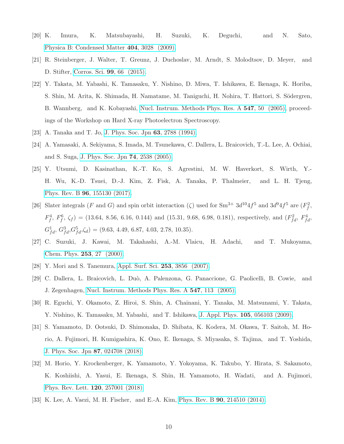- <span id="page-9-0"></span>[20] K. Imura, K. Matsubayashi, H. Suzuki, K. Deguchi, and N. Sato, [Physica B: Condensed Matter](http://dx.doi.org/ https://doi.org/10.1016/j.physb.2009.07.013) 404, 3028 (2009).
- <span id="page-9-1"></span>[21] R. Steinberger, J. Walter, T. Greunz, J. Duchoslav, M. Arndt, S. Molodtsov, D. Meyer, and D. Stifter, [Corros. Sci.](http://dx.doi.org/ https://doi.org/10.1016/j.corsci.2015.06.019) 99, 66 (2015).
- <span id="page-9-2"></span>[22] Y. Takata, M. Yabashi, K. Tamasaku, Y. Nishino, D. Miwa, T. Ishikawa, E. Ikenaga, K. Horiba, S. Shin, M. Arita, K. Shimada, H. Namatame, M. Taniguchi, H. Nohira, T. Hattori, S. Södergren, B. Wannberg, and K. Kobayashi, [Nucl. Instrum. Methods Phys.](http://dx.doi.org/ https://doi.org/10.1016/j.nima.2005.05.011) Res. A 547, 50 (2005), proceedings of the Workshop on Hard X-ray Photoelectron Spectroscopy.
- <span id="page-9-5"></span><span id="page-9-4"></span>[23] A. Tanaka and T. Jo, [J. Phys. Soc. Jpn](http://dx.doi.org/10.1143/JPSJ.63.2788) 63, 2788 (1994).
- [24] A. Yamasaki, A. Sekiyama, S. Imada, M. Tsunekawa, C. Dallera, L. Braicovich, T.-L. Lee, A. Ochiai, and S. Suga, [J. Phys. Soc. Jpn](http://dx.doi.org/10.1143/jpsj.74.2538) 74, 2538 (2005).
- <span id="page-9-6"></span>[25] Y. Utsumi, D. Kasinathan, K.-T. Ko, S. Agrestini, M. W. Haverkort, S. Wirth, Y.- H. Wu, K.-D. Tsuei, D.-J. Kim, Z. Fisk, A. Tanaka, P. Thalmeier, and L. H. Tjeng, Phys. Rev. B 96[, 155130 \(2017\).](http://dx.doi.org/ 10.1103/PhysRevB.96.155130)
- <span id="page-9-7"></span>[26] Slater integrals (F and G) and spin orbit interaction ( $\zeta$ ) used for Sm<sup>3+</sup>  $3d^{10}4f^5$  and  $3d^94f^5$  are  $(F_f^2,$  $F_f^4$ ,  $F_f^6$ ,  $\zeta_f$  = (13.64, 8.56, 6.16, 0.144) and (15.31, 9.68, 6.98, 0.181), respectively, and  $(F_{fd}^2, F_{fd}^4, F_{fd}^4, F_{fd}^4, F_{fd}^4, F_{fd}^4, F_{fd}^4, F_{fd}^4, F_{fd}^4, F_{fd}^4, F_{fd}^4, F_{fd}^4, F_{fd}^4, F_{fd}^4, F_{fd}^4, F_{fd}^4, F_{fd}^4$  $G_{fd}^1, G_{fd}^3, G_{fd}^5, \zeta_d) = (9.63, 4.49, 6.87, 4.03, 2.78, 10.35).$
- <span id="page-9-3"></span>[27] C. Suzuki, J. Kawai, M. Takahashi, A.-M. Vlaicu, H. Adachi, and T. Mukoyama, [Chem. Phys.](http://dx.doi.org/ https://doi.org/10.1016/S0301-0104(99)00380-8) 253, 27 (2000).
- <span id="page-9-9"></span><span id="page-9-8"></span>[28] Y. Mori and S. Tanemura, [Appl. Surf. Sci.](http://dx.doi.org/https://doi.org/10.1016/j.apsusc.2006.08.011) 253, 3856 (2007).
- [29] C. Dallera, L. Braicovich, L. Du`o, A. Palenzona, G. Panaccione, G. Paolicelli, B. Cowie, and J. Zegenhagen, [Nucl. Instrum. Methods Phys. Res. A](http://dx.doi.org/ https://doi.org/10.1016/j.nima.2005.05.017) 547, 113 (2005).
- <span id="page-9-10"></span>[30] R. Eguchi, Y. Okamoto, Z. Hiroi, S. Shin, A. Chainani, Y. Tanaka, M. Matsunami, Y. Takata, Y. Nishino, K. Tamasaku, M. Yabashi, and T. Ishikawa, J. Appl. Phys. 105[, 056103 \(2009\).](http://dx.doi.org/10.1063/1.3086666)
- [31] S. Yamamoto, D. Ootsuki, D. Shimonaka, D. Shibata, K. Kodera, M. Okawa, T. Saitoh, M. Horio, A. Fujimori, H. Kumigashira, K. Ono, E. Ikenaga, S. Miyasaka, S. Tajima, and T. Yoshida, [J. Phys. Soc. Jpn](http://dx.doi.org/ 10.7566/JPSJ.87.024708) 87, 024708 (2018).
- <span id="page-9-11"></span>[32] M. Horio, Y. Krockenberger, K. Yamamoto, Y. Yokoyama, K. Takubo, Y. Hirata, S. Sakamoto, K. Koshiishi, A. Yasui, E. Ikenaga, S. Shin, H. Yamamoto, H. Wadati, and A. Fujimori, [Phys. Rev. Lett.](http://dx.doi.org/10.1103/PhysRevLett.120.257001) 120, 257001 (2018).
- <span id="page-9-12"></span>[33] K. Lee, A. Vaezi, M. H. Fischer, and E.-A. Kim, Phys. Rev. B 90[, 214510 \(2014\).](http://dx.doi.org/ 10.1103/PhysRevB.90.214510)